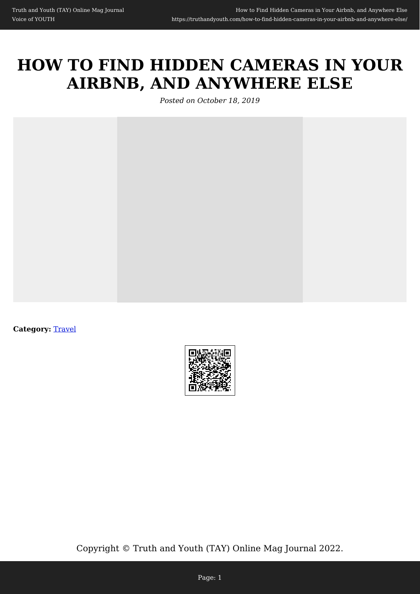# **HOW TO FIND HIDDEN CAMERAS IN YOUR AIRBNB, AND ANYWHERE ELSE**

*Posted on October 18, 2019*



**Category: [Travel](https://truthandyouth.com/category/travel/)** 



Copyright © Truth and Youth (TAY) Online Mag Journal 2022.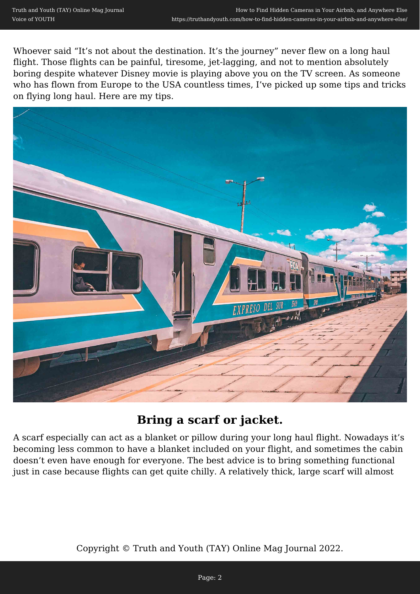Whoever said "It's not about the destination. It's the journey" never flew on a long haul flight. Those flights can be painful, tiresome, jet-lagging, and not to mention absolutely boring despite whatever Disney movie is playing above you on the TV screen. As someone who has flown from Europe to the USA countless times, I've picked up some tips and tricks on flying long haul. Here are my tips.



### **Bring a scarf or jacket.**

A scarf especially can act as a blanket or pillow during your long haul flight. Nowadays it's becoming less common to have a blanket included on your flight, and sometimes the cabin doesn't even have enough for everyone. The best advice is to bring something functional just in case because flights can get quite chilly. A relatively thick, large scarf will almost

Copyright © Truth and Youth (TAY) Online Mag Journal 2022.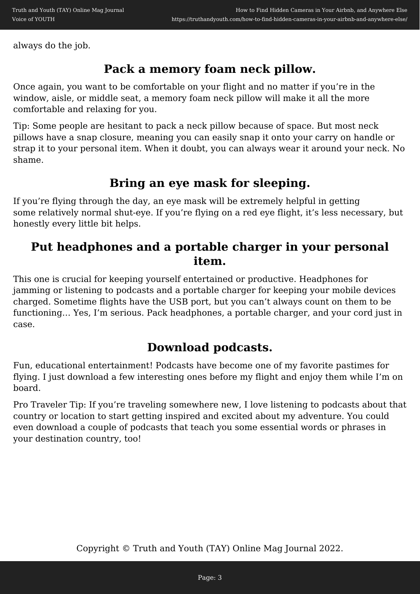always do the job.

#### **Pack a memory foam neck pillow.**

Once again, you want to be comfortable on your flight and no matter if you're in the window, aisle, or middle seat, a memory foam neck pillow will make it all the more comfortable and relaxing for you.

Tip: Some people are hesitant to pack a neck pillow because of space. But most neck pillows have a snap closure, meaning you can easily snap it onto your carry on handle or strap it to your personal item. When it doubt, you can always wear it around your neck. No shame.

#### **Bring an eye mask for sleeping.**

If you're flying through the day, an eye mask will be extremely helpful in getting some relatively normal shut-eye. If you're flying on a red eye flight, it's less necessary, but honestly every little bit helps.

#### **Put headphones and a portable charger in your personal item.**

This one is crucial for keeping yourself entertained or productive. Headphones for jamming or listening to podcasts and a portable charger for keeping your mobile devices charged. Sometime flights have the USB port, but you can't always count on them to be functioning… Yes, I'm serious. Pack headphones, a portable charger, and your cord just in case.

## **Download podcasts.**

Fun, educational entertainment! Podcasts have become one of my favorite pastimes for flying. I just download a few interesting ones before my flight and enjoy them while I'm on board.

Pro Traveler Tip: If you're traveling somewhere new, I love listening to podcasts about that country or location to start getting inspired and excited about my adventure. You could even download a couple of podcasts that teach you some essential words or phrases in your destination country, too!